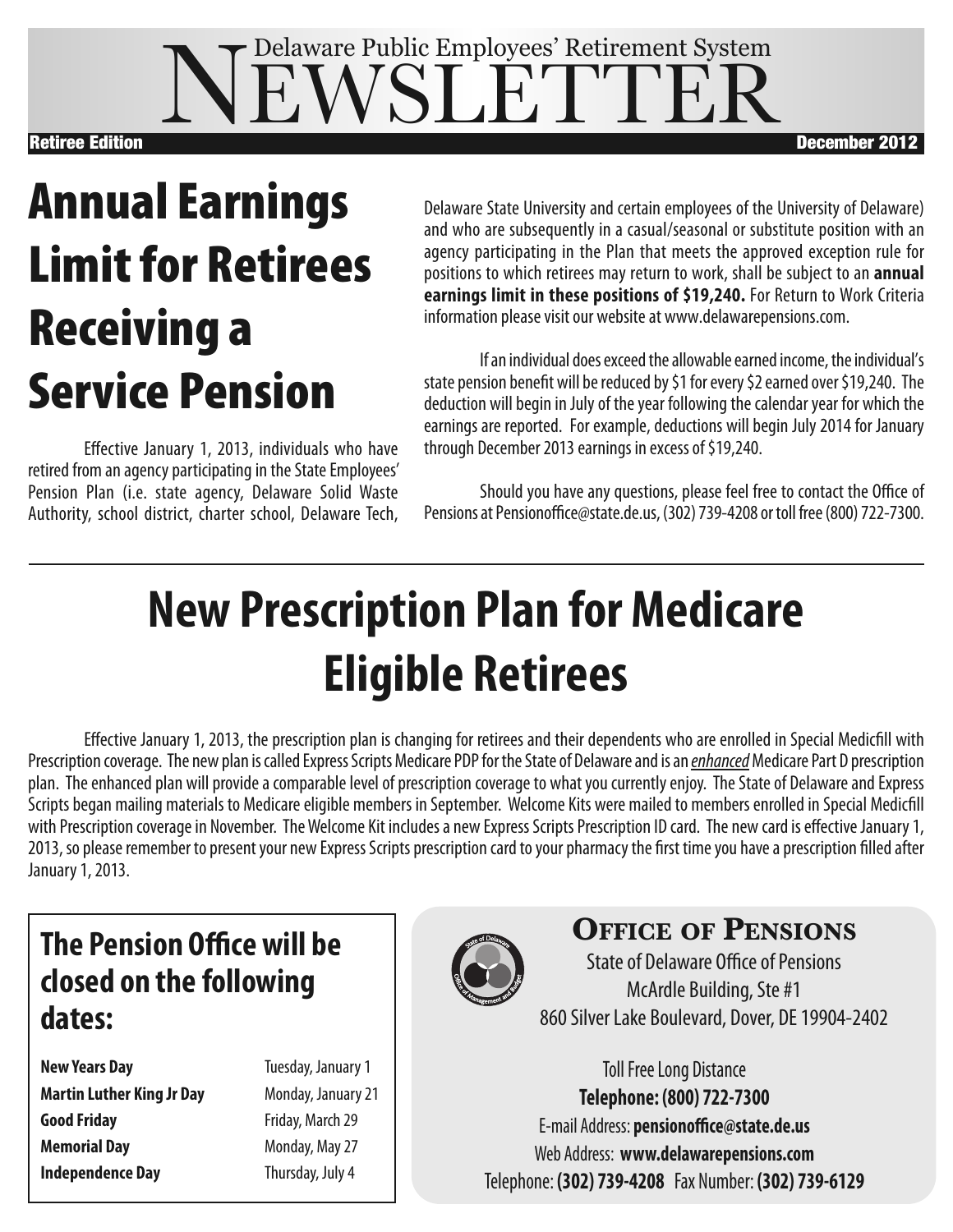### **VEWSLETTE** Delaware Public Employees' Retirement System Retiree Edition December 2012

# **Annual Earnings Limitfor Retirees Receiving a Service Pension**

Effective January 1, 2013, individuals who have retired from an agency participating in the State Employees' Pension Plan (i.e. state agency, Delaware Solid Waste Authority, school district, charter school, Delaware Tech,

Delaware State University and certain employees of the University of Delaware) and who are subsequently in a casual/seasonal or substitute position with an agency participating in the Plan that meets the approved exception rule for positions to which retirees may return to work, shall be subject to an **annual earnings limit in these positions of \$19,240.** For Return to Work Criteria information please visit our website at www.delawarepensions.com.

If an individual does exceed the allowable earned income, the individual's state pension benefit will be reduced by \$1 for every \$2 earned over \$19,240. The deduction will begin in July of the year following the calendar year for which the earnings are reported. For example, deductions will begin July 2014 for January through December 2013 earnings in excess of \$19,240.

Should you have any questions, please feel free to contact the Office of Pensions at Pensionoffice@state.de.us, (302) 739-4208 or toll free (800) 722-7300.

# **New Prescription Plan for Medicare Eligible Retirees**

Effective January 1, 2013, the prescription plan is changing for retirees and their dependents who are enrolled in Special Medicfill with Prescription coverage. The new plan is called Express Scripts Medicare PDP for the State of Delaware and is an *enhanced* Medicare Part D prescription plan. The enhanced plan will provide a comparable level of prescription coverage to what you currently enjoy. The State of Delaware and Express Scripts began mailing materials to Medicare eligible members in September. Welcome Kits were mailed to members enrolled in Special Medicfill with Prescription coverage in November. The Welcome Kit includes a new Express Scripts Prescription ID card. The new card is effective January 1, 2013, so please remember to present your new Express Scripts prescription card to your pharmacy the first time you have a prescription filled after January 1, 2013.

### **The Pension Office will be closed on the following dates:**

- **New Years Day** Tuesday, January 1 **Martin Luther King Jr Day** Monday, January21 **Good Friday Friday**, March 29 **Memorial Day** Monday, May 27 **Independence Day** Thursday, July 4
	-



### **Office Of PensiOns**

State of Delaware Office of Pensions McArdle Building, Ste #1 860 Silver Lake Boulevard, Dover, DE 19904-2402

**Toll Free Long Distance Telephone: (800) 722-7300** E-mail Address: **pensionoffice@state.de.us** Web Address: **www.delawarepensions.com** Telephone: **(302) 739-4208** Fax Number: **(302) 739-6129**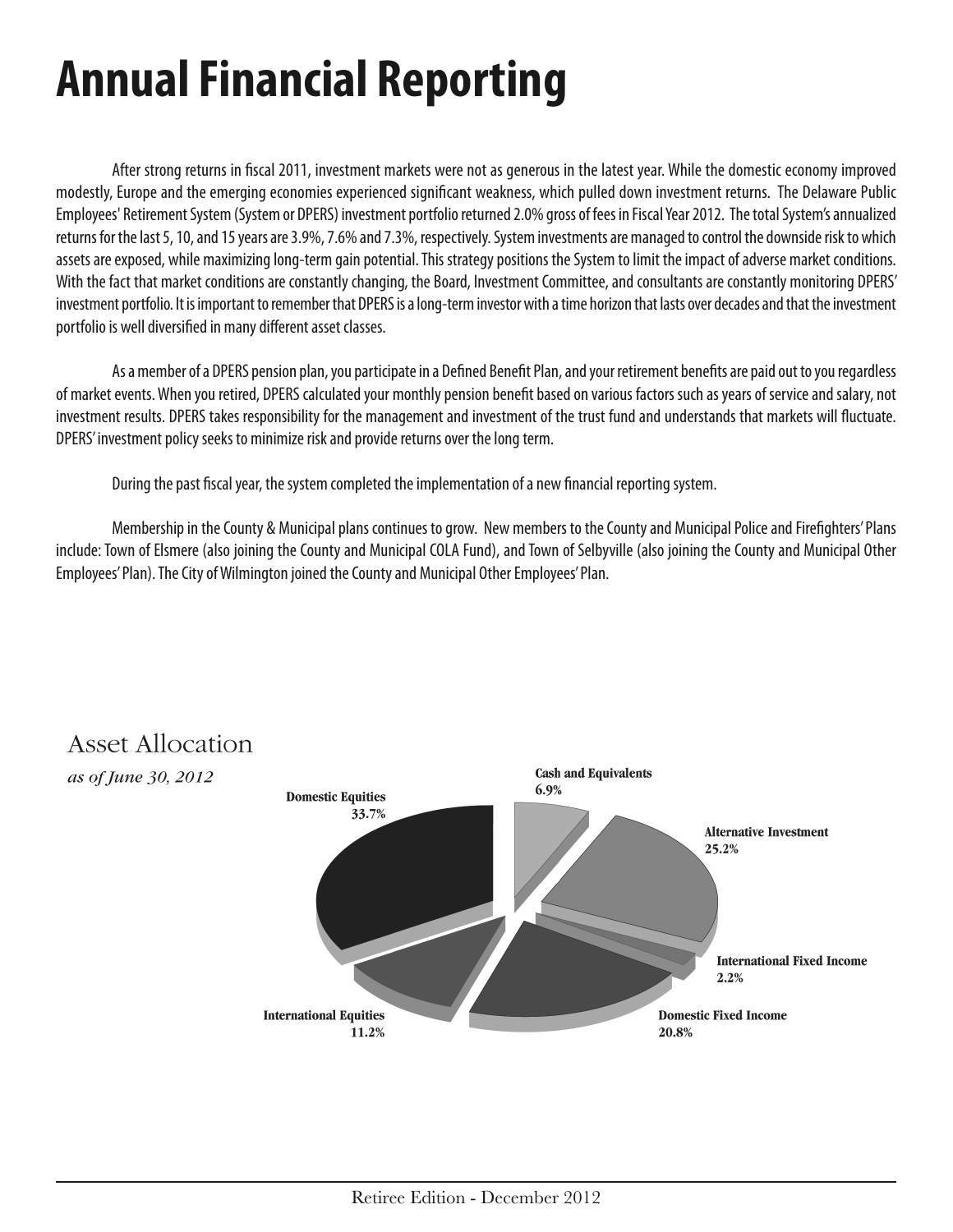# **AnnualFinancial Reporting**

After strong returns in fiscal 2011, investment markets were not as generous in the latest year. While the domestic economy improved modestly, Europe and the emerging economies experienced significant weakness, which pulled down investment returns. The Delaware Public Employees' Retirement System (System or DPERS) investment portfolio returned 2.0% gross of fees in Fiscal Year 2012. The total System's annualized returns for the last 5, 10, and 15 years are 3.9%, 7.6% and 7.3%, respectively. System investments are managed to control the downside risk to which assets are exposed, while maximizing long-term gain potential. This strategy positions the System to limit the impact of adverse market conditions. With the fact that market conditions are constantly changing, the Board, Investment Committee, and consultants are constantly monitoring DPERS' investment portfolio. It is important to remember that DPERS is a long-term investor with a time horizon that lasts over decades and that the investment portfolio is well diversified in many different asset classes.

As a member of a DPERS pension plan, you participate in a Defined Benefit Plan, and your retirement benefits are paid out to you regardless of market events. When you retired, DPERS calculated your monthly pension benefit based on various factors such as years of service and salary, not investment results. DPERS takes responsibility for the management andinvestment of the trust fundandunderstands that markets will fluctuate. DPERS' investment policy seeks to minimize risk and provide returns over the long term.

During the past fiscal year, the system completed the implementation of a new financial reporting system.

Membership in the County & Municipal plans continues to grow. New members to the County and Municipal Police and Firefighters' Plans include: Town of Elsmere (also joining the County and Municipal COLA Fund), and Town of Selbyville (also joining the County and Municipal Other Employees' Plan). The City of Wilmington joined the County and Municipal Other Employees' Plan.



#### **Asset Allocation**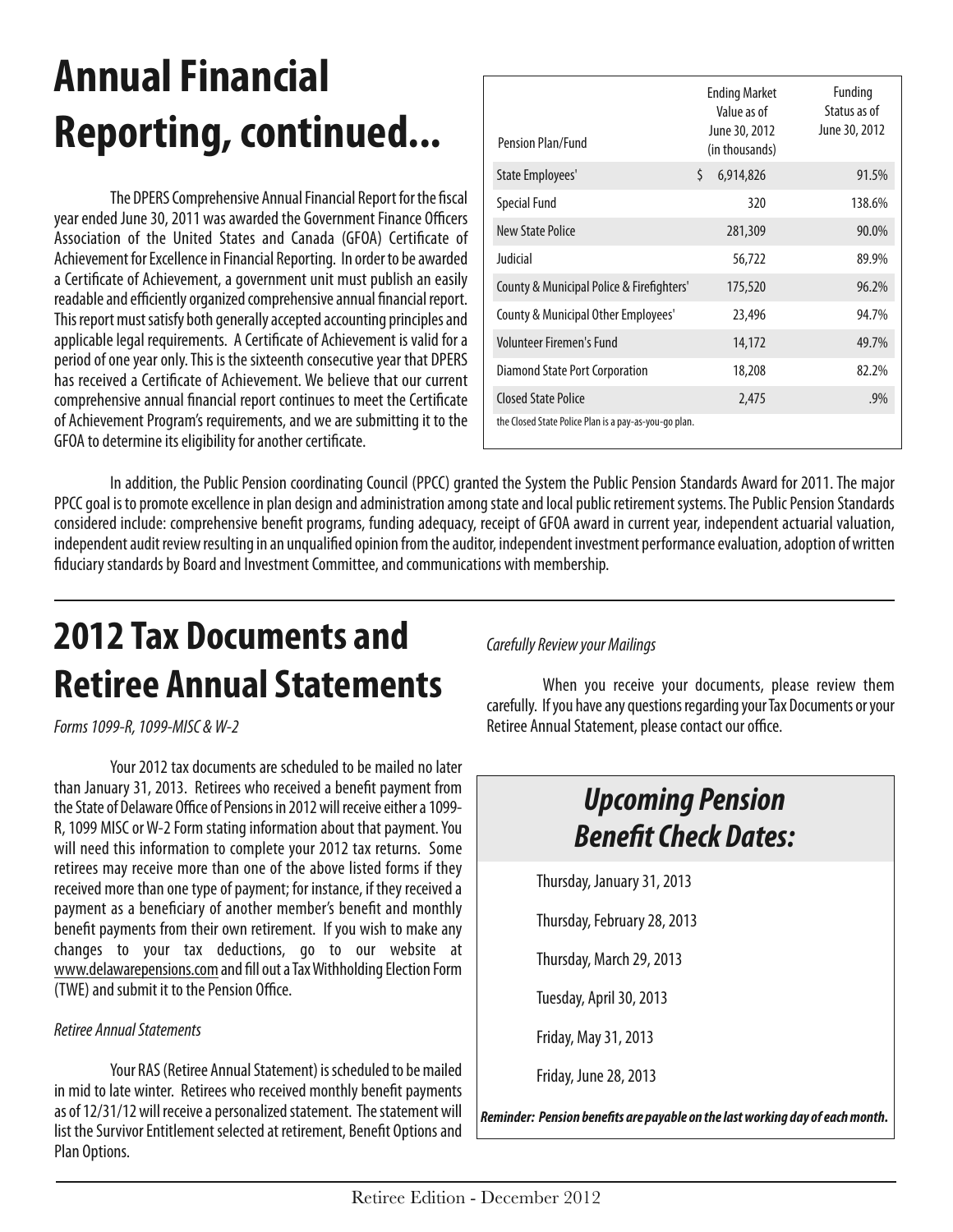## **Annual Financial Reporting, continued...**

The DPERS Comprehensive Annual Financial Report for the fiscal year ended June 30, 2011 was awarded the Government Finance Officers Association of the United States and Canada (GFOA) Certificate of Achievement for Excellence in Financial Reporting. In order to be awarded a Certificate of Achievement, a government unit must publish an easily readable and efficiently organized comprehensive annual financial report. This report must satisfy both generally accepted accounting principles and applicable legal requirements. A Certificate of Achievement is valid for a period of one year only. This is the sixteenth consecutive year that DPERS has received a Certificate of Achievement. We believe that our current comprehensive annual financial report continues to meet the Certificate of Achievement Program's requirements, and we are submitting it to the GFOA to determine its eligibility for another certificate.

| Pension Plan/Fund                                     | <b>Ending Market</b><br>Value as of<br>June 30, 2012<br>(in thousands) | Funding<br>Status as of<br>June 30, 2012 |
|-------------------------------------------------------|------------------------------------------------------------------------|------------------------------------------|
| State Employees'                                      | Ś.<br>6,914,826                                                        | 91.5%                                    |
| <b>Special Fund</b>                                   | 320                                                                    | 138.6%                                   |
| New State Police                                      | 281,309                                                                | 90.0%                                    |
| Judicial                                              | 56,722                                                                 | 89.9%                                    |
| County & Municipal Police & Firefighters'             | 175,520                                                                | 96.2%                                    |
| County & Municipal Other Employees'                   | 23,496                                                                 | 94.7%                                    |
| Volunteer Firemen's Fund                              | 14,172                                                                 | 49.7%                                    |
| Diamond State Port Corporation                        | 18,208                                                                 | 82.2%                                    |
| Closed State Police                                   | 2,475                                                                  | .9%                                      |
| the Closed State Police Plan is a pay-as-you-go plan. |                                                                        |                                          |

In addition, the Public Pension coordinating Council (PPCC) granted the System the Public Pension Standards Award for 2011. The major PPCC goal is to promote excellence in plan design and administration among state and local public retirement systems. The Public Pension Standards considered include: comprehensive benefit programs, funding adequacy, receipt of GFOA award in current year, independent actuarial valuation, independent audit review resulting in an unqualified opinion from the auditor, independent investment performance evaluation, adoption of written fiduciary standards by Board and Investment Committee, and communications with membership.

### **2012 Tax Documents and Retiree AnnualStatements**

*Forms1099-R,1099-MISC &W-2*

Your 2012 tax documents are scheduled to be mailed no later than January 31, 2013. Retirees who received a benefit payment from the State of Delaware Office of Pensions in 2012 will receive either a 1099-R, 1099 MISC or W-2 Form stating information about that payment. You will need this information to complete your 2012 tax returns. Some retirees may receive more than one of the above listed forms if they received more than one type of payment; for instance, if they received a payment as a beneficiary of another member's benefit and monthly benefit payments from their own retirement. If you wish to make any changes to your tax deductions, go to our website at www.delawarepensions.com and fill out a Tax Withholding Election Form (TWE) and submit it to the Pension Office.

#### *Retiree AnnualStatements*

Your RAS (Retiree Annual Statement) is scheduled to be mailed in mid to late winter. Retirees who received monthly benefit payments as of 12/31/12 will receive a personalized statement. The statement will list the Survivor Entitlement selected at retirement, Benefit Options and Plan Options.

*CarefullyReview your Mailings*

When you receive your documents, please review them carefully. If you have any questions regarding your Tax Documents or your Retiree Annual Statement, please contact our office.

### *Upcoming Pension* **Benefit Check Dates:**

Thursday, January31,2013

Thursday, February 28, 2013

Thursday, March 29,2013

Tuesday, April 30, 2013

Friday, May31,2013

Friday, June28,2013

*Reminder: Pension benefits are payable on thelastworking day ofeachmonth.*